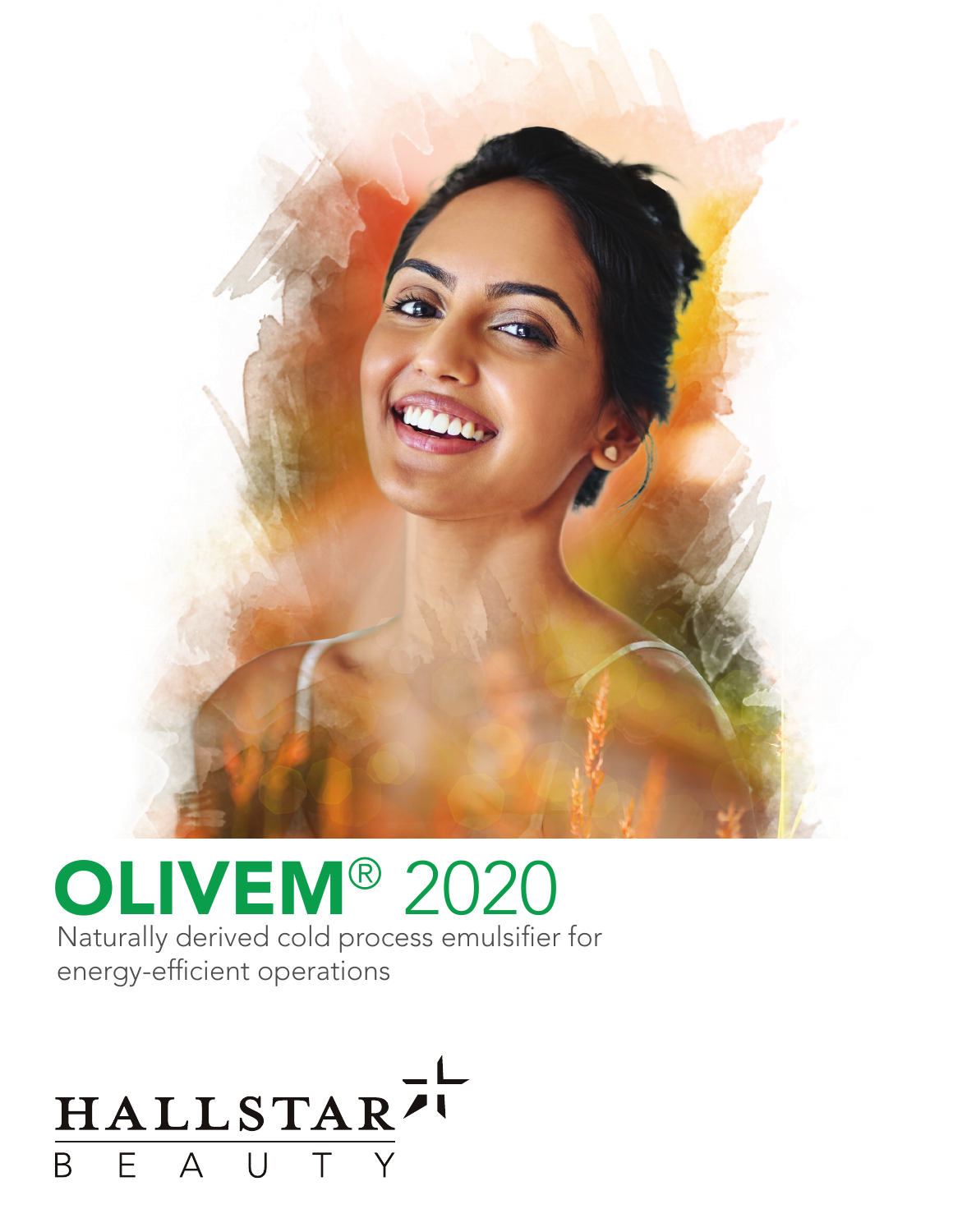

### OLIVEM® 2020 Naturally derived cold process emulsifier for

energy-efficient operations

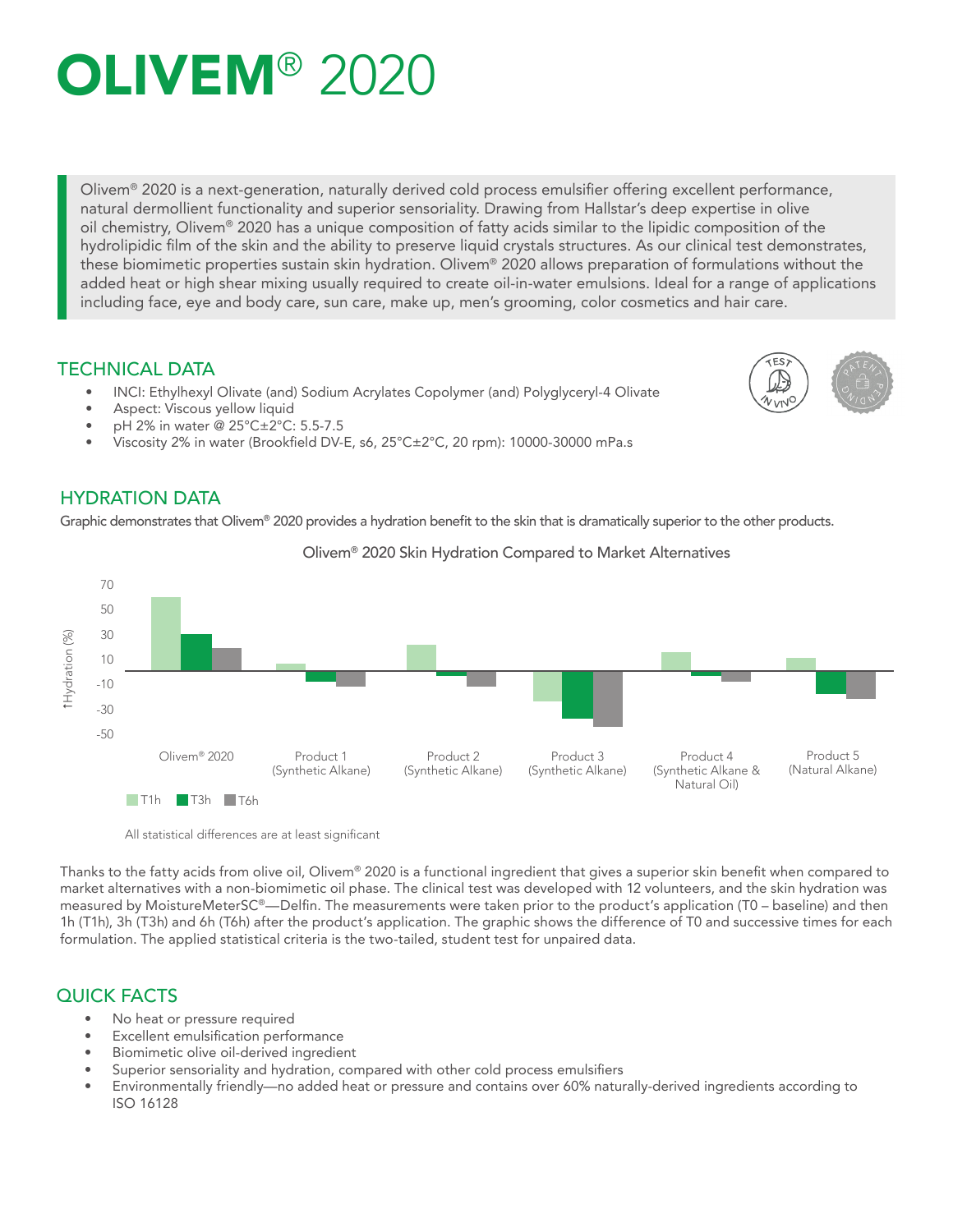## **OLIVEM® 2020**

Olivem® 2020 is a next-generation, naturally derived cold process emulsifier offering excellent performance, natural dermollient functionality and superior sensoriality. Drawing from Hallstar's deep expertise in olive oil chemistry, Olivem® 2020 has a unique composition of fatty acids similar to the lipidic composition of the hydrolipidic film of the skin and the ability to preserve liquid crystals structures. As our clinical test demonstrates, these biomimetic properties sustain skin hydration. Olivem® 2020 allows preparation of formulations without the added heat or high shear mixing usually required to create oil-in-water emulsions. Ideal for a range of applications including face, eye and body care, sun care, make up, men's grooming, color cosmetics and hair care.

#### TECHNICAL DATA

- INCI: Ethylhexyl Olivate (and) Sodium Acrylates Copolymer (and) Polyglyceryl-4 Olivate
- Aspect: Viscous yellow liquid
- pH 2% in water @ 25°C±2°C: 5.5-7.5
- Viscosity 2% in water (Brookfield DV-E, s6, 25°C±2°C, 20 rpm): 10000-30000 mPa.s

#### HYDRATION DATA

Graphic demonstrates that Olivem® 2020 provides a hydration benefit to the skin that is dramatically superior to the other products.



Olivem® 2020 Skin Hydration Compared to Market Alternatives

All statistical differences are at least significant

Thanks to the fatty acids from olive oil, Olivem® 2020 is a functional ingredient that gives a superior skin benefit when compared to market alternatives with a non-biomimetic oil phase. The clinical test was developed with 12 volunteers, and the skin hydration was measured by MoistureMeterSC®—Delfin. The measurements were taken prior to the product's application (T0 – baseline) and then 1h (T1h), 3h (T3h) and 6h (T6h) after the product's application. The graphic shows the difference of T0 and successive times for each formulation. The applied statistical criteria is the two-tailed, student test for unpaired data.

#### QUICK FACTS

- No heat or pressure required
- Excellent emulsification performance
- Biomimetic olive oil-derived ingredient
- Superior sensoriality and hydration, compared with other cold process emulsifiers<br>• Environmentally friendly, no added beat or prossure and contains over 60% patur
- Environmentally friendly—no added heat or pressure and contains over 60% naturally-derived ingredients according to ISO 16128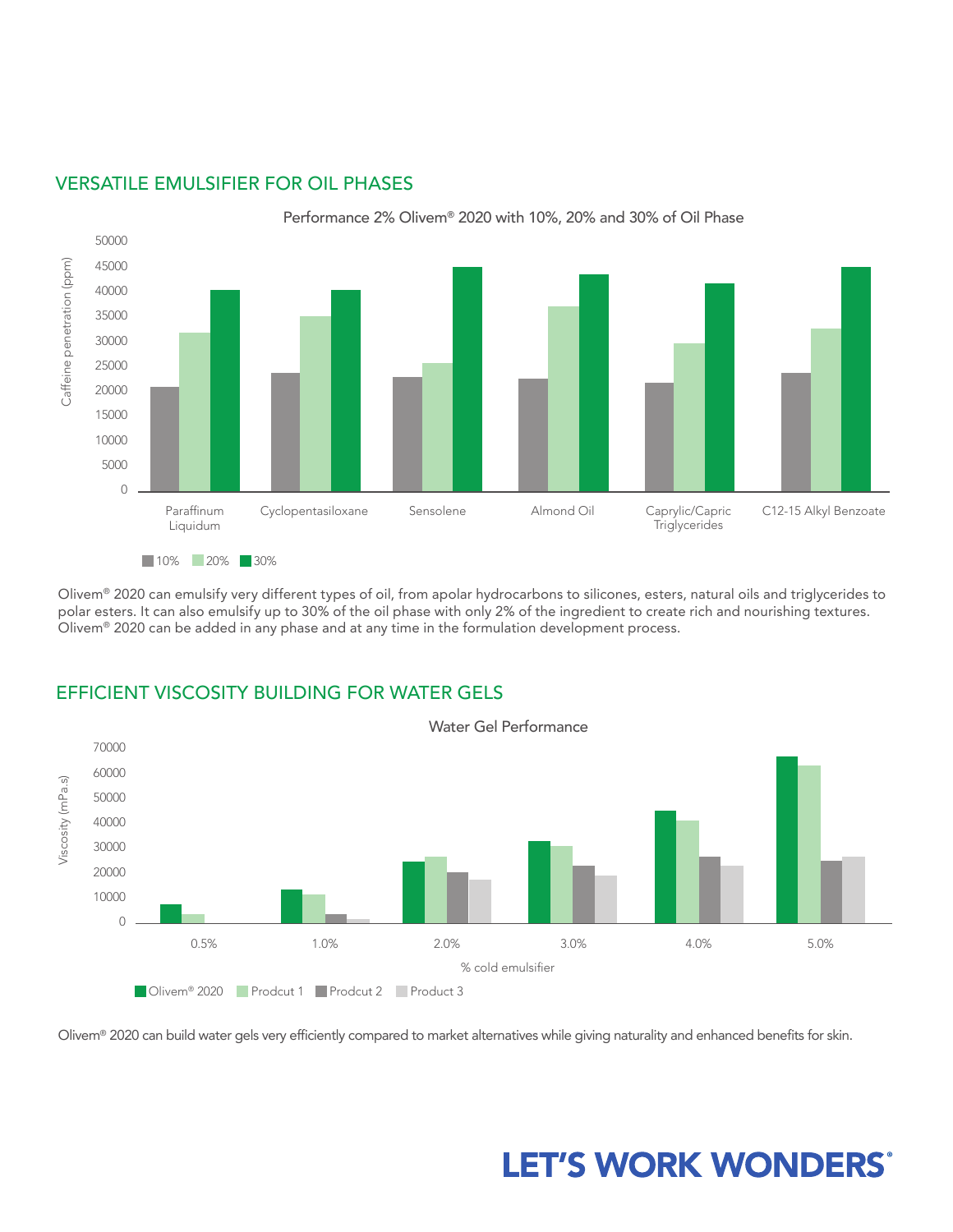

#### VERSATILE EMULSIFIER FOR OIL PHASES

Olivem® 2020 can emulsify very different types of oil, from apolar hydrocarbons to silicones, esters, natural oils and triglycerides to polar esters. It can also emulsify up to 30% of the oil phase with only 2% of the ingredient to create rich and nourishing textures. Olivem® 2020 can be added in any phase and at any time in the formulation development process.

### EFFICIENT VISCOSITY BUILDING FOR WATER GELS



Olivem® 2020 can build water gels very efficiently compared to market alternatives while giving naturality and enhanced benefits for skin.

### **LET'S WORK WONDERS®**